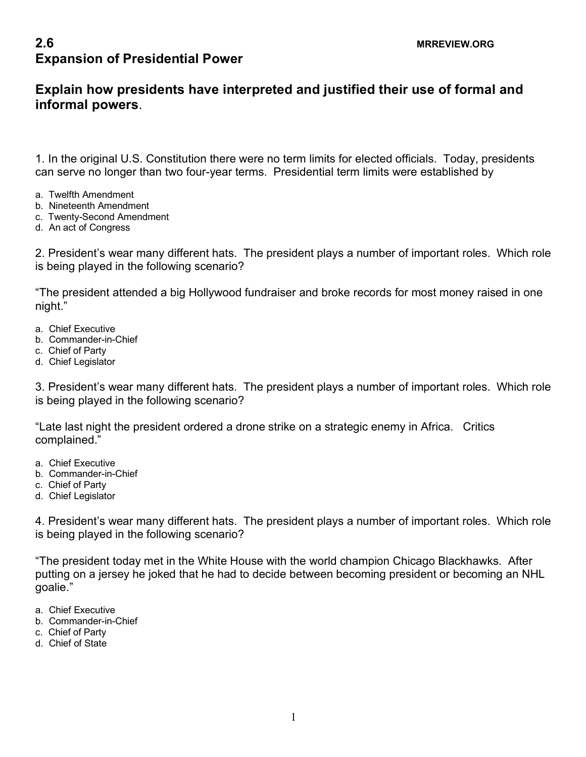## **2.6 MRREVIEW.ORG Expansion of Presidential Power**

## **Explain how presidents have interpreted and justified their use of formal and informal powers**.

1. In the original U.S. Constitution there were no term limits for elected officials. Today, presidents can serve no longer than two four-year terms. Presidential term limits were established by

- a. Twelfth Amendment
- b. Nineteenth Amendment
- c. Twenty-Second Amendment
- d. An act of Congress

2. President's wear many different hats. The president plays a number of important roles. Which role is being played in the following scenario?

"The president attended a big Hollywood fundraiser and broke records for most money raised in one night."

- a. Chief Executive
- b. Commander-in-Chief
- c. Chief of Party
- d. Chief Legislator

3. President's wear many different hats. The president plays a number of important roles. Which role is being played in the following scenario?

"Late last night the president ordered a drone strike on a strategic enemy in Africa. Critics complained."

- a. Chief Executive
- b. Commander-in-Chief
- c. Chief of Party
- d. Chief Legislator

4. President's wear many different hats. The president plays a number of important roles. Which role is being played in the following scenario?

"The president today met in the White House with the world champion Chicago Blackhawks. After putting on a jersey he joked that he had to decide between becoming president or becoming an NHL goalie."

- a. Chief Executive
- b. Commander-in-Chief
- c. Chief of Party
- d. Chief of State